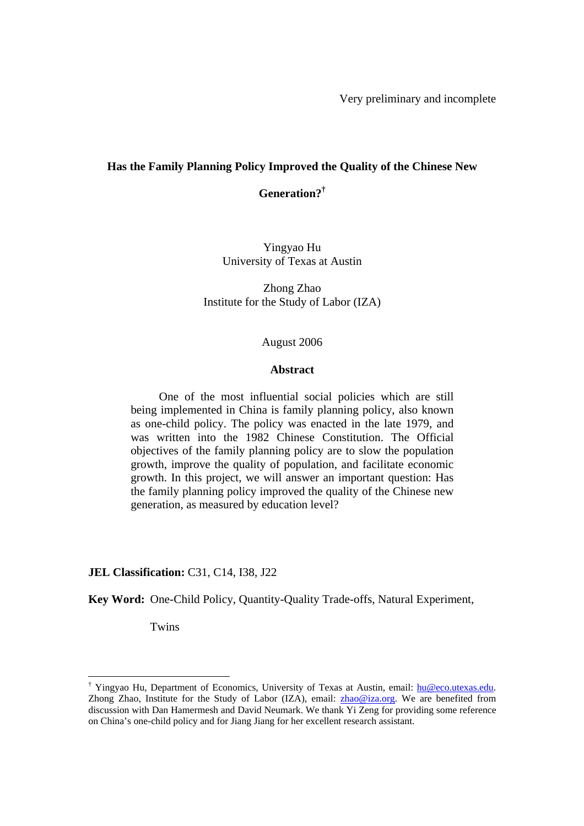Very preliminary and incomplete

## **Has the Family Planning Policy Improved the Quality of the Chinese New**

**Generation?†**

Yingyao Hu University of Texas at Austin

Zhong Zhao Institute for the Study of Labor (IZA)

#### August 2006

### **Abstract**

One of the most influential social policies which are still being implemented in China is family planning policy, also known as one-child policy. The policy was enacted in the late 1979, and was written into the 1982 Chinese Constitution. The Official objectives of the family planning policy are to slow the population growth, improve the quality of population, and facilitate economic growth. In this project, we will answer an important question: Has the family planning policy improved the quality of the Chinese new generation, as measured by education level?

#### **JEL Classification:** C31, C14, I38, J22

**Key Word:** One-Child Policy, Quantity-Quality Trade-offs, Natural Experiment,

Twins

 $\overline{a}$ 

<sup>&</sup>lt;sup>†</sup> Yingyao Hu, Department of Economics, University of Texas at Austin, email: hu@eco.utexas.edu. Zhong Zhao, Institute for the Study of Labor (IZA), email: zhao@iza.org. We are benefited from discussion with Dan Hamermesh and David Neumark. We thank Yi Zeng for providing some reference on China's one-child policy and for Jiang Jiang for her excellent research assistant.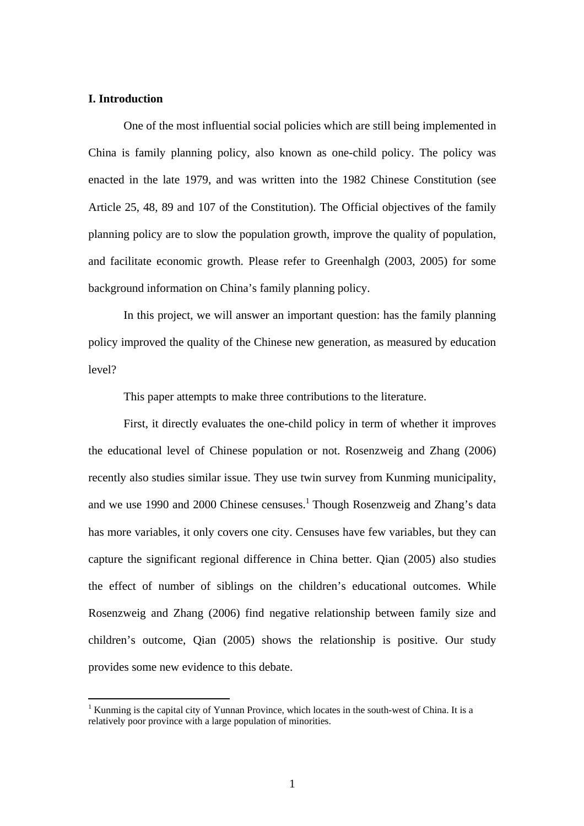## **I. Introduction**

 $\overline{a}$ 

One of the most influential social policies which are still being implemented in China is family planning policy, also known as one-child policy. The policy was enacted in the late 1979, and was written into the 1982 Chinese Constitution (see Article 25, 48, 89 and 107 of the Constitution). The Official objectives of the family planning policy are to slow the population growth, improve the quality of population, and facilitate economic growth. Please refer to Greenhalgh (2003, 2005) for some background information on China's family planning policy.

In this project, we will answer an important question: has the family planning policy improved the quality of the Chinese new generation, as measured by education level?

This paper attempts to make three contributions to the literature.

First, it directly evaluates the one-child policy in term of whether it improves the educational level of Chinese population or not. Rosenzweig and Zhang (2006) recently also studies similar issue. They use twin survey from Kunming municipality, and we use 1990 and 2000 Chinese censuses.<sup>1</sup> Though Rosenzweig and Zhang's data has more variables, it only covers one city. Censuses have few variables, but they can capture the significant regional difference in China better. Qian (2005) also studies the effect of number of siblings on the children's educational outcomes. While Rosenzweig and Zhang (2006) find negative relationship between family size and children's outcome, Qian (2005) shows the relationship is positive. Our study provides some new evidence to this debate.

<sup>&</sup>lt;sup>1</sup> Kunming is the capital city of Yunnan Province, which locates in the south-west of China. It is a relatively poor province with a large population of minorities.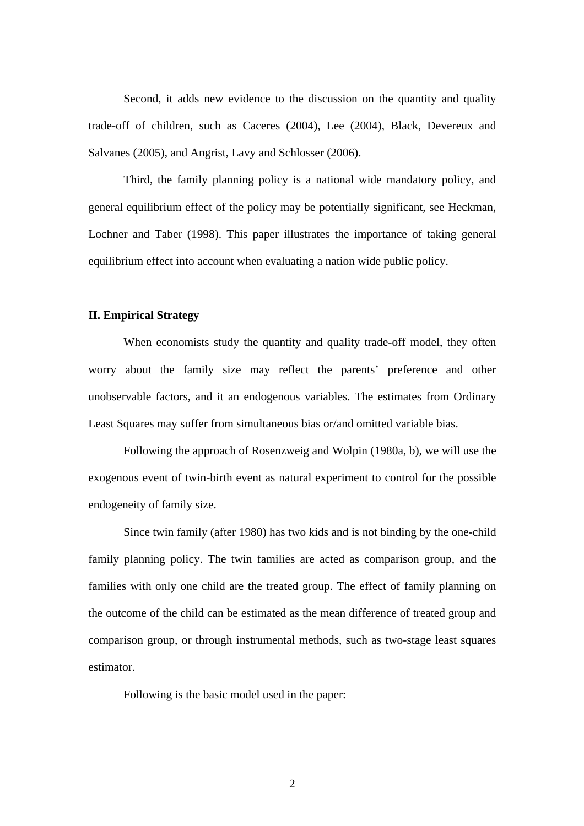Second, it adds new evidence to the discussion on the quantity and quality trade-off of children, such as Caceres (2004), Lee (2004), Black, Devereux and Salvanes (2005), and Angrist, Lavy and Schlosser (2006).

Third, the family planning policy is a national wide mandatory policy, and general equilibrium effect of the policy may be potentially significant, see Heckman, Lochner and Taber (1998). This paper illustrates the importance of taking general equilibrium effect into account when evaluating a nation wide public policy.

## **II. Empirical Strategy**

When economists study the quantity and quality trade-off model, they often worry about the family size may reflect the parents' preference and other unobservable factors, and it an endogenous variables. The estimates from Ordinary Least Squares may suffer from simultaneous bias or/and omitted variable bias.

Following the approach of Rosenzweig and Wolpin (1980a, b), we will use the exogenous event of twin-birth event as natural experiment to control for the possible endogeneity of family size.

Since twin family (after 1980) has two kids and is not binding by the one-child family planning policy. The twin families are acted as comparison group, and the families with only one child are the treated group. The effect of family planning on the outcome of the child can be estimated as the mean difference of treated group and comparison group, or through instrumental methods, such as two-stage least squares estimator.

Following is the basic model used in the paper: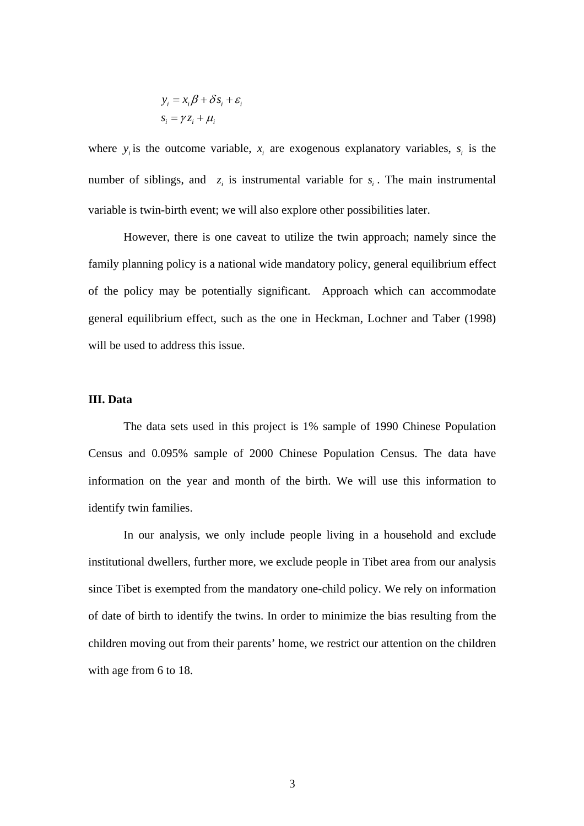$$
y_i = x_i \beta + \delta s_i + \varepsilon_i
$$

$$
s_i = \gamma z_i + \mu_i
$$

where  $y_i$  is the outcome variable,  $x_i$  are exogenous explanatory variables,  $s_i$  is the number of siblings, and  $z_i$  is instrumental variable for  $s_i$ . The main instrumental variable is twin-birth event; we will also explore other possibilities later.

However, there is one caveat to utilize the twin approach; namely since the family planning policy is a national wide mandatory policy, general equilibrium effect of the policy may be potentially significant. Approach which can accommodate general equilibrium effect, such as the one in Heckman, Lochner and Taber (1998) will be used to address this issue.

## **III. Data**

The data sets used in this project is 1% sample of 1990 Chinese Population Census and 0.095% sample of 2000 Chinese Population Census. The data have information on the year and month of the birth. We will use this information to identify twin families.

In our analysis, we only include people living in a household and exclude institutional dwellers, further more, we exclude people in Tibet area from our analysis since Tibet is exempted from the mandatory one-child policy. We rely on information of date of birth to identify the twins. In order to minimize the bias resulting from the children moving out from their parents' home, we restrict our attention on the children with age from 6 to 18.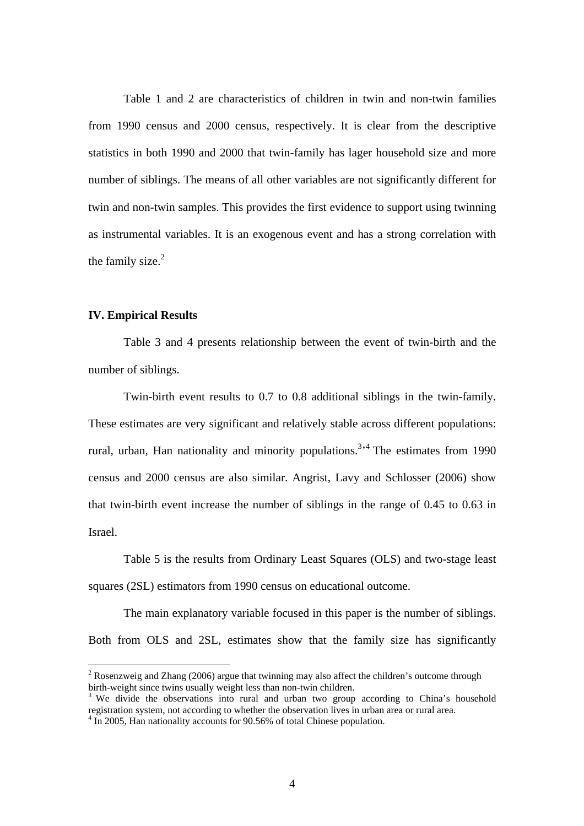Table 1 and 2 are characteristics of children in twin and non-twin families from 1990 census and 2000 census, respectively. It is clear from the descriptive statistics in both 1990 and 2000 that twin-family has lager household size and more number of siblings. The means of all other variables are not significantly different for twin and non-twin samples. This provides the first evidence to support using twinning as instrumental variables. It is an exogenous event and has a strong correlation with the family size. $2$ 

## **IV. Empirical Results**

 $\overline{a}$ 

 Table 3 and 4 presents relationship between the event of twin-birth and the number of siblings.

 Twin-birth event results to 0.7 to 0.8 additional siblings in the twin-family. These estimates are very significant and relatively stable across different populations: rural, urban, Han nationality and minority populations.<sup>3,4</sup> The estimates from 1990 census and 2000 census are also similar. Angrist, Lavy and Schlosser (2006) show that twin-birth event increase the number of siblings in the range of 0.45 to 0.63 in Israel.

 Table 5 is the results from Ordinary Least Squares (OLS) and two-stage least squares (2SL) estimators from 1990 census on educational outcome.

The main explanatory variable focused in this paper is the number of siblings. Both from OLS and 2SL, estimates show that the family size has significantly

<sup>&</sup>lt;sup>2</sup> Rosenzweig and Zhang (2006) argue that twinning may also affect the children's outcome through birth-weight since twins usually weight less than non-twin children.

<sup>&</sup>lt;sup>3</sup> We divide the observations into rural and urban two group according to China's household registration system, not according to whether the observation lives in urban area or rural area.<br><sup>4</sup> In 2005, Han nationality accounts for 90.56% of total Chinese population.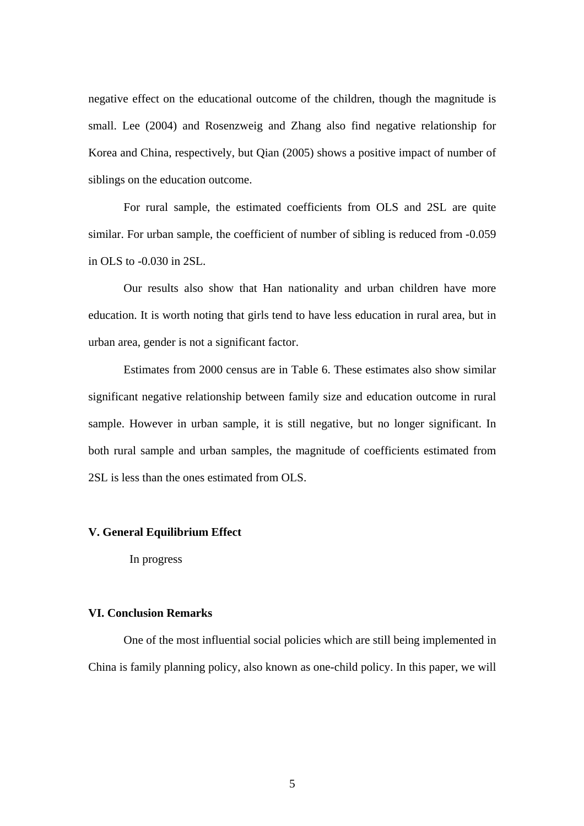negative effect on the educational outcome of the children, though the magnitude is small. Lee (2004) and Rosenzweig and Zhang also find negative relationship for Korea and China, respectively, but Qian (2005) shows a positive impact of number of siblings on the education outcome.

 For rural sample, the estimated coefficients from OLS and 2SL are quite similar. For urban sample, the coefficient of number of sibling is reduced from -0.059 in OLS to -0.030 in 2SL.

 Our results also show that Han nationality and urban children have more education. It is worth noting that girls tend to have less education in rural area, but in urban area, gender is not a significant factor.

 Estimates from 2000 census are in Table 6. These estimates also show similar significant negative relationship between family size and education outcome in rural sample. However in urban sample, it is still negative, but no longer significant. In both rural sample and urban samples, the magnitude of coefficients estimated from 2SL is less than the ones estimated from OLS.

## **V. General Equilibrium Effect**

In progress

### **VI. Conclusion Remarks**

One of the most influential social policies which are still being implemented in China is family planning policy, also known as one-child policy. In this paper, we will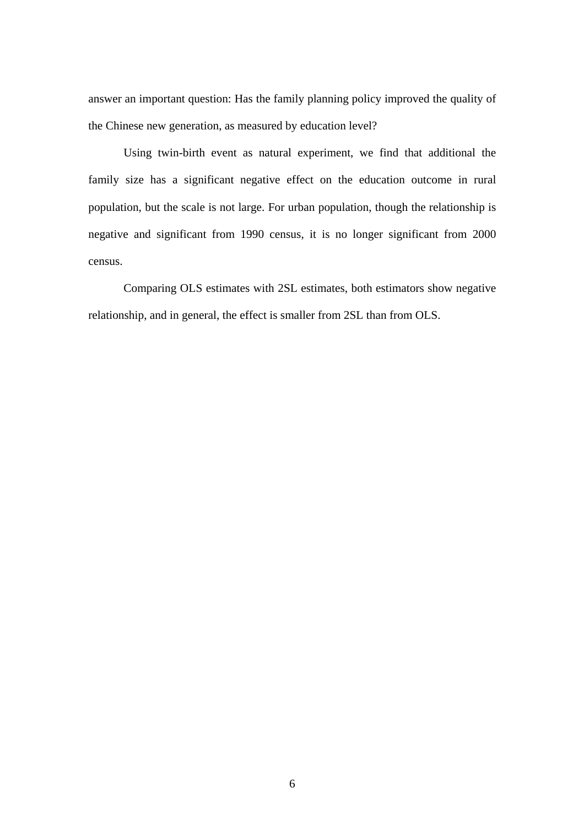answer an important question: Has the family planning policy improved the quality of the Chinese new generation, as measured by education level?

Using twin-birth event as natural experiment, we find that additional the family size has a significant negative effect on the education outcome in rural population, but the scale is not large. For urban population, though the relationship is negative and significant from 1990 census, it is no longer significant from 2000 census.

Comparing OLS estimates with 2SL estimates, both estimators show negative relationship, and in general, the effect is smaller from 2SL than from OLS.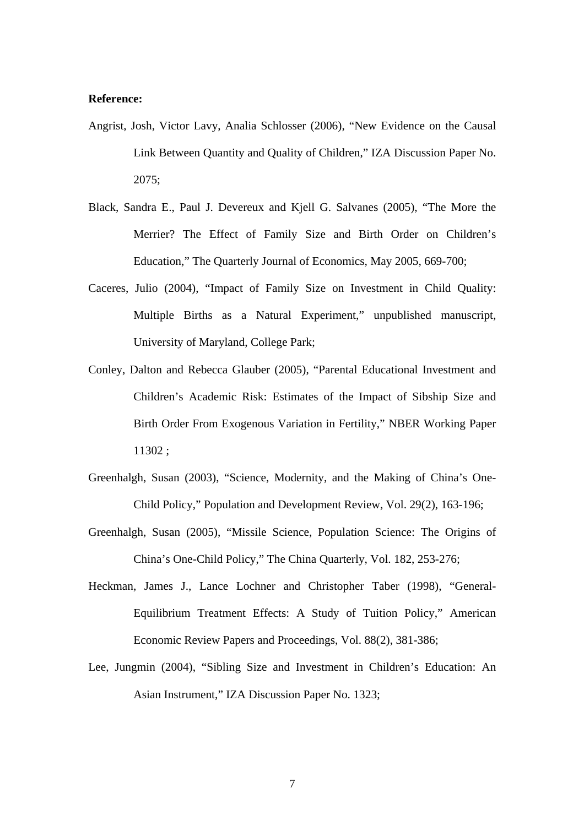### **Reference:**

- Angrist, Josh, Victor Lavy, Analia Schlosser (2006), "New Evidence on the Causal Link Between Quantity and Quality of Children," IZA Discussion Paper No. 2075;
- Black, Sandra E., Paul J. Devereux and Kjell G. Salvanes (2005), "The More the Merrier? The Effect of Family Size and Birth Order on Children's Education," The Quarterly Journal of Economics, May 2005, 669-700;
- Caceres, Julio (2004), "Impact of Family Size on Investment in Child Quality: Multiple Births as a Natural Experiment," unpublished manuscript, University of Maryland, College Park;
- Conley, Dalton and Rebecca Glauber (2005), "Parental Educational Investment and Children's Academic Risk: Estimates of the Impact of Sibship Size and Birth Order From Exogenous Variation in Fertility," NBER Working Paper 11302 ;
- Greenhalgh, Susan (2003), "Science, Modernity, and the Making of China's One-Child Policy," Population and Development Review, Vol. 29(2), 163-196;
- Greenhalgh, Susan (2005), "Missile Science, Population Science: The Origins of China's One-Child Policy," The China Quarterly, Vol. 182, 253-276;
- Heckman, James J., Lance Lochner and Christopher Taber (1998), "General-Equilibrium Treatment Effects: A Study of Tuition Policy," American Economic Review Papers and Proceedings, Vol. 88(2), 381-386;
- Lee, Jungmin (2004), "Sibling Size and Investment in Children's Education: An Asian Instrument," IZA Discussion Paper No. 1323;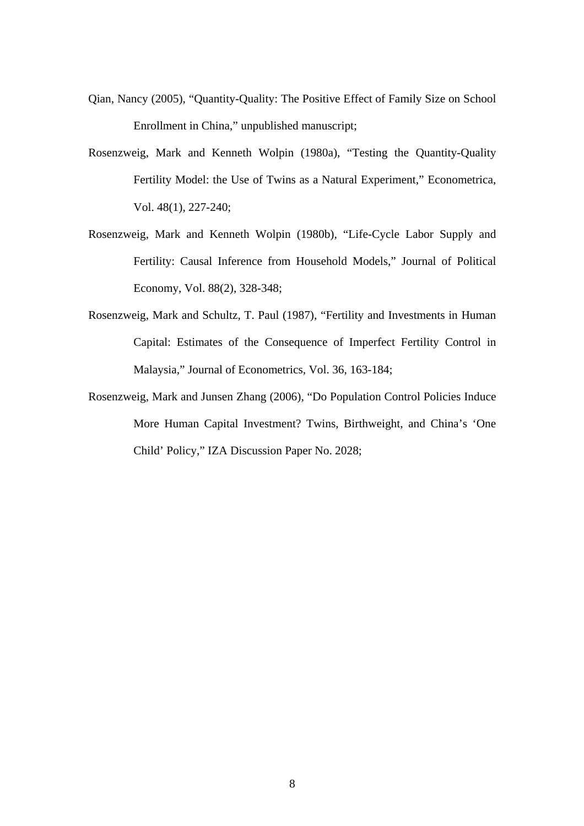- Qian, Nancy (2005), "Quantity-Quality: The Positive Effect of Family Size on School Enrollment in China," unpublished manuscript;
- Rosenzweig, Mark and Kenneth Wolpin (1980a), "Testing the Quantity-Quality Fertility Model: the Use of Twins as a Natural Experiment," Econometrica, Vol. 48(1), 227-240;
- Rosenzweig, Mark and Kenneth Wolpin (1980b), "Life-Cycle Labor Supply and Fertility: Causal Inference from Household Models," Journal of Political Economy, Vol. 88(2), 328-348;
- Rosenzweig, Mark and Schultz, T. Paul (1987), "Fertility and Investments in Human Capital: Estimates of the Consequence of Imperfect Fertility Control in Malaysia," Journal of Econometrics, Vol. 36, 163-184;
- Rosenzweig, Mark and Junsen Zhang (2006), "Do Population Control Policies Induce More Human Capital Investment? Twins, Birthweight, and China's 'One Child' Policy," IZA Discussion Paper No. 2028;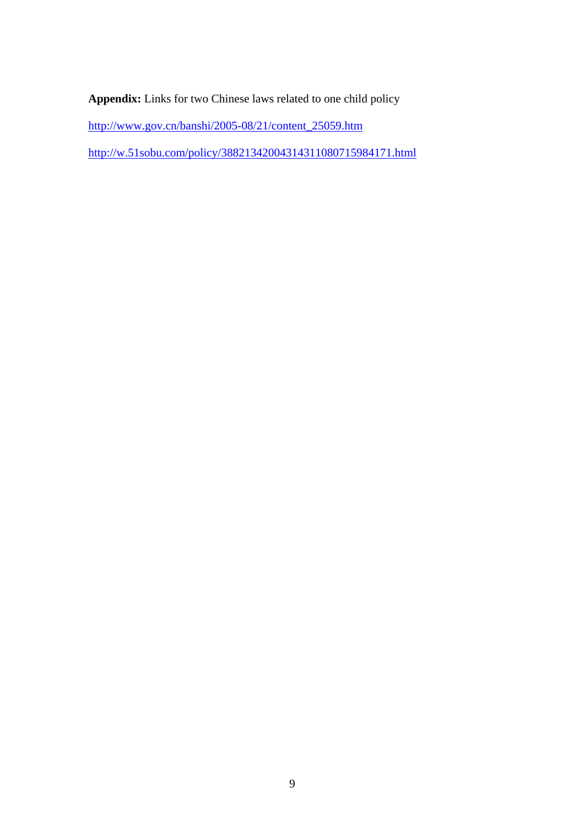**Appendix:** Links for two Chinese laws related to one child policy

http://www.gov.cn/banshi/2005-08/21/content\_25059.htm

http://w.51sobu.com/policy/38821342004314311080715984171.html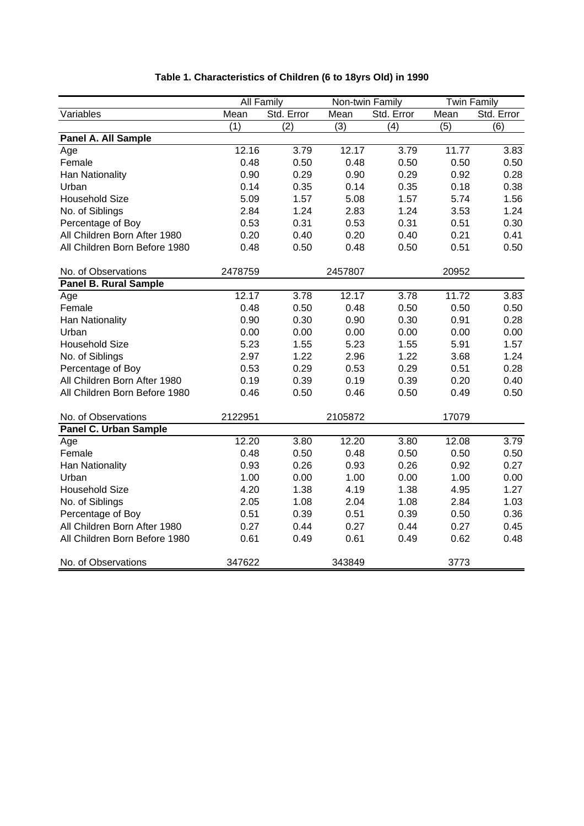|                               | <b>All Family</b> |            | Non-twin Family |            | <b>Twin Family</b> |            |
|-------------------------------|-------------------|------------|-----------------|------------|--------------------|------------|
| Variables                     | Mean              | Std. Error | Mean            | Std. Error | Mean               | Std. Error |
|                               | (1)               | (2)        | (3)             | (4)        | (5)                | (6)        |
| Panel A. All Sample           |                   |            |                 |            |                    |            |
| Age                           | 12.16             | 3.79       | 12.17           | 3.79       | 11.77              | 3.83       |
| Female                        | 0.48              | 0.50       | 0.48            | 0.50       | 0.50               | 0.50       |
| Han Nationality               | 0.90              | 0.29       | 0.90            | 0.29       | 0.92               | 0.28       |
| Urban                         | 0.14              | 0.35       | 0.14            | 0.35       | 0.18               | 0.38       |
| <b>Household Size</b>         | 5.09              | 1.57       | 5.08            | 1.57       | 5.74               | 1.56       |
| No. of Siblings               | 2.84              | 1.24       | 2.83            | 1.24       | 3.53               | 1.24       |
| Percentage of Boy             | 0.53              | 0.31       | 0.53            | 0.31       | 0.51               | 0.30       |
| All Children Born After 1980  | 0.20              | 0.40       | 0.20            | 0.40       | 0.21               | 0.41       |
| All Children Born Before 1980 | 0.48              | 0.50       | 0.48            | 0.50       | 0.51               | 0.50       |
| No. of Observations           | 2478759           |            | 2457807         |            | 20952              |            |
| <b>Panel B. Rural Sample</b>  |                   |            |                 |            |                    |            |
| Age                           | 12.17             | 3.78       | 12.17           | 3.78       | 11.72              | 3.83       |
| Female                        | 0.48              | 0.50       | 0.48            | 0.50       | 0.50               | 0.50       |
| Han Nationality               | 0.90              | 0.30       | 0.90            | 0.30       | 0.91               | 0.28       |
| Urban                         | 0.00              | 0.00       | 0.00            | 0.00       | 0.00               | 0.00       |
| <b>Household Size</b>         | 5.23              | 1.55       | 5.23            | 1.55       | 5.91               | 1.57       |
| No. of Siblings               | 2.97              | 1.22       | 2.96            | 1.22       | 3.68               | 1.24       |
| Percentage of Boy             | 0.53              | 0.29       | 0.53            | 0.29       | 0.51               | 0.28       |
| All Children Born After 1980  | 0.19              | 0.39       | 0.19            | 0.39       | 0.20               | 0.40       |
| All Children Born Before 1980 | 0.46              | 0.50       | 0.46            | 0.50       | 0.49               | 0.50       |
| No. of Observations           | 2122951           |            | 2105872         |            | 17079              |            |
| <b>Panel C. Urban Sample</b>  |                   |            |                 |            |                    |            |
| Age                           | 12.20             | 3.80       | 12.20           | 3.80       | 12.08              | 3.79       |
| Female                        | 0.48              | 0.50       | 0.48            | 0.50       | 0.50               | 0.50       |
| Han Nationality               | 0.93              | 0.26       | 0.93            | 0.26       | 0.92               | 0.27       |
| Urban                         | 1.00              | 0.00       | 1.00            | 0.00       | 1.00               | 0.00       |
| <b>Household Size</b>         | 4.20              | 1.38       | 4.19            | 1.38       | 4.95               | 1.27       |
| No. of Siblings               | 2.05              | 1.08       | 2.04            | 1.08       | 2.84               | 1.03       |
| Percentage of Boy             | 0.51              | 0.39       | 0.51            | 0.39       | 0.50               | 0.36       |
| All Children Born After 1980  | 0.27              | 0.44       | 0.27            | 0.44       | 0.27               | 0.45       |
| All Children Born Before 1980 | 0.61              | 0.49       | 0.61            | 0.49       | 0.62               | 0.48       |
| No. of Observations           | 347622            |            | 343849          |            | 3773               |            |

# **Table 1. Characteristics of Children (6 to 18yrs Old) in 1990**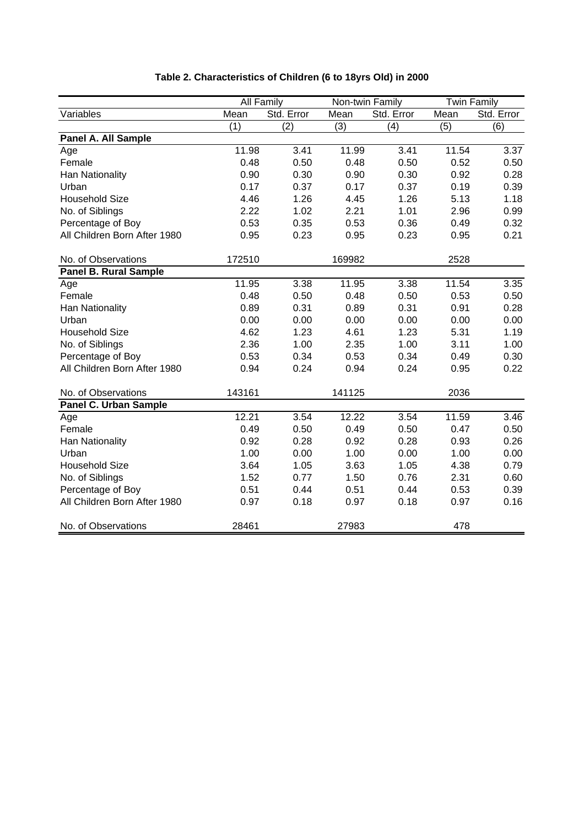|                              |        | All Family       |        | Non-twin Family |       | <b>Twin Family</b> |
|------------------------------|--------|------------------|--------|-----------------|-------|--------------------|
| Variables                    | Mean   | Std. Error       | Mean   | Std. Error      | Mean  | Std. Error         |
|                              | (1)    | $\overline{(2)}$ | (3)    | (4)             | (5)   | (6)                |
| Panel A. All Sample          |        |                  |        |                 |       |                    |
| Age                          | 11.98  | 3.41             | 11.99  | 3.41            | 11.54 | 3.37               |
| Female                       | 0.48   | 0.50             | 0.48   | 0.50            | 0.52  | 0.50               |
| Han Nationality              | 0.90   | 0.30             | 0.90   | 0.30            | 0.92  | 0.28               |
| Urban                        | 0.17   | 0.37             | 0.17   | 0.37            | 0.19  | 0.39               |
| <b>Household Size</b>        | 4.46   | 1.26             | 4.45   | 1.26            | 5.13  | 1.18               |
| No. of Siblings              | 2.22   | 1.02             | 2.21   | 1.01            | 2.96  | 0.99               |
| Percentage of Boy            | 0.53   | 0.35             | 0.53   | 0.36            | 0.49  | 0.32               |
| All Children Born After 1980 | 0.95   | 0.23             | 0.95   | 0.23            | 0.95  | 0.21               |
| No. of Observations          | 172510 |                  | 169982 |                 | 2528  |                    |
| <b>Panel B. Rural Sample</b> |        |                  |        |                 |       |                    |
| Age                          | 11.95  | 3.38             | 11.95  | 3.38            | 11.54 | 3.35               |
| Female                       | 0.48   | 0.50             | 0.48   | 0.50            | 0.53  | 0.50               |
| Han Nationality              | 0.89   | 0.31             | 0.89   | 0.31            | 0.91  | 0.28               |
| Urban                        | 0.00   | 0.00             | 0.00   | 0.00            | 0.00  | 0.00               |
| <b>Household Size</b>        | 4.62   | 1.23             | 4.61   | 1.23            | 5.31  | 1.19               |
| No. of Siblings              | 2.36   | 1.00             | 2.35   | 1.00            | 3.11  | 1.00               |
| Percentage of Boy            | 0.53   | 0.34             | 0.53   | 0.34            | 0.49  | 0.30               |
| All Children Born After 1980 | 0.94   | 0.24             | 0.94   | 0.24            | 0.95  | 0.22               |
| No. of Observations          | 143161 |                  | 141125 |                 | 2036  |                    |
| <b>Panel C. Urban Sample</b> |        |                  |        |                 |       |                    |
| Age                          | 12.21  | 3.54             | 12.22  | 3.54            | 11.59 | 3.46               |
| Female                       | 0.49   | 0.50             | 0.49   | 0.50            | 0.47  | 0.50               |
| Han Nationality              | 0.92   | 0.28             | 0.92   | 0.28            | 0.93  | 0.26               |
| Urban                        | 1.00   | 0.00             | 1.00   | 0.00            | 1.00  | 0.00               |
| <b>Household Size</b>        | 3.64   | 1.05             | 3.63   | 1.05            | 4.38  | 0.79               |
| No. of Siblings              | 1.52   | 0.77             | 1.50   | 0.76            | 2.31  | 0.60               |
| Percentage of Boy            | 0.51   | 0.44             | 0.51   | 0.44            | 0.53  | 0.39               |
| All Children Born After 1980 | 0.97   | 0.18             | 0.97   | 0.18            | 0.97  | 0.16               |
| No. of Observations          | 28461  |                  | 27983  |                 | 478   |                    |

# **Table 2. Characteristics of Children (6 to 18yrs Old) in 2000**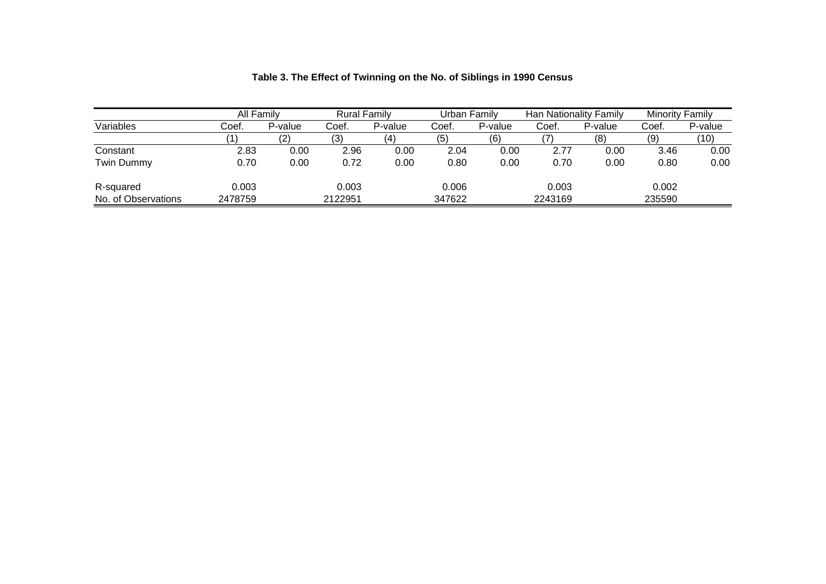|                     | All Family |         | <b>Rural Family</b> |         | Urban Family |         | Han Nationality Family |         | <b>Minority Family</b> |         |
|---------------------|------------|---------|---------------------|---------|--------------|---------|------------------------|---------|------------------------|---------|
| Variables           | Coef.      | P-value | Coef                | P-value | Coef.        | P-value | Coef.                  | P-value | Coef.                  | P-value |
|                     |            | (2)     | (3                  |         | (5)          | (6)     |                        | (8)     | (9)                    | (10)    |
| Constant            | 2.83       | 0.00    | 2.96                | 0.00    | 2.04         | 0.00    | 2.77                   | 0.00    | 3.46                   | 0.00    |
| Twin Dummy          | 0.70       | 0.00    | 0.72                | 0.00    | 0.80         | 0.00    | 0.70                   | 0.00    | 0.80                   | 0.00    |
| R-squared           | 0.003      |         | 0.003               |         | 0.006        |         | 0.003                  |         | 0.002                  |         |
| No. of Observations | 2478759    |         | 2122951             |         | 347622       |         | 2243169                |         | 235590                 |         |

# **Table 3. The Effect of Twinning on the No. of Siblings in 1990 Census**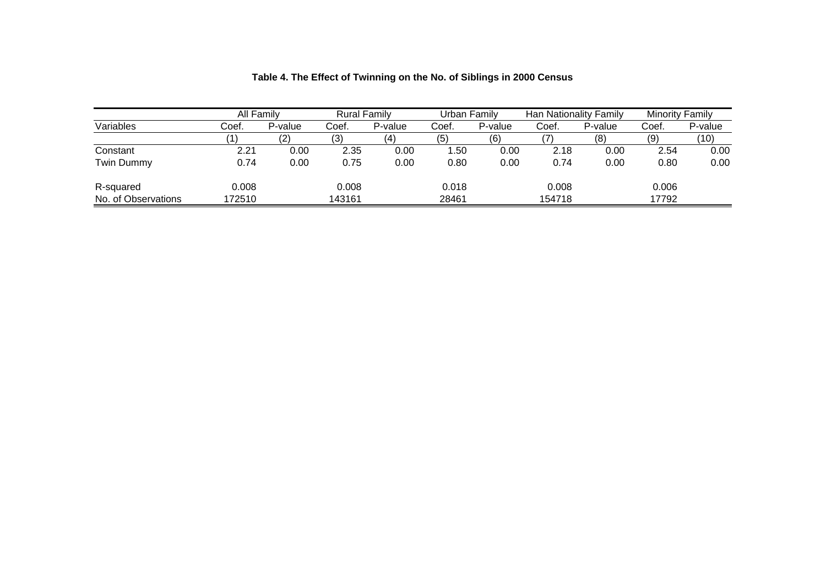|                     | All Family |         | <b>Rural Family</b> |         | Urban Family |         | Han Nationality Family |         | Minority Family |         |
|---------------------|------------|---------|---------------------|---------|--------------|---------|------------------------|---------|-----------------|---------|
| Variables           | Coef.      | P-value | Coef.               | P-value | Coef.        | P-value | Coef.                  | P-value | Coef.           | P-value |
|                     |            | (2)     | (3                  |         | (5)          | (6)     |                        | (8)     | (9)             | (10)    |
| Constant            | 2.21       | 0.00    | 2.35                | 0.00    | 1.50         | 0.00    | 2.18                   | 0.00    | 2.54            | 0.00    |
| Twin Dummy          | 0.74       | 0.00    | 0.75                | 0.00    | 0.80         | 0.00    | 0.74                   | 0.00    | 0.80            | 0.00    |
| R-squared           | 0.008      |         | 0.008               |         | 0.018        |         | 0.008                  |         | 0.006           |         |
| No. of Observations | 172510     |         | 143161              |         | 28461        |         | 154718                 |         | 17792           |         |

| Table 4. The Effect of Twinning on the No. of Siblings in 2000 Census |  |
|-----------------------------------------------------------------------|--|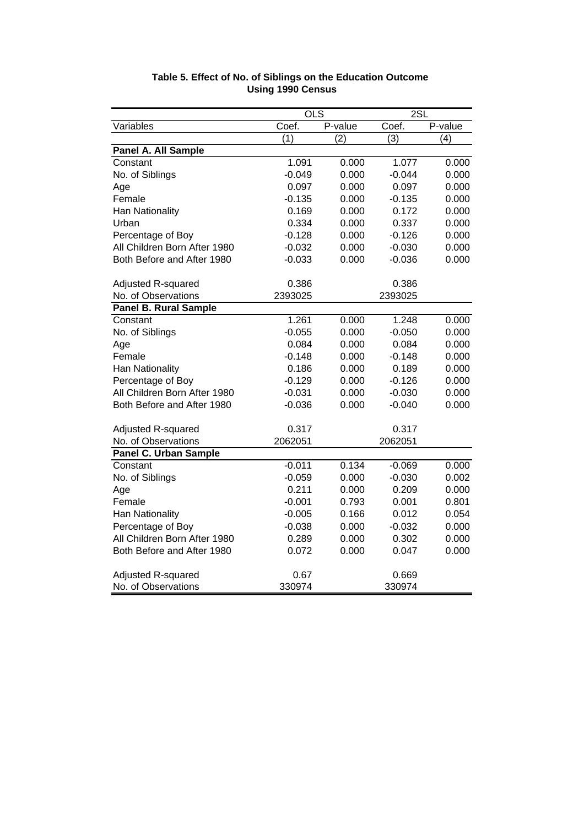|                              | $\overline{OLS}$ |         | 2SL              |                  |
|------------------------------|------------------|---------|------------------|------------------|
| Variables                    | Coef.            | P-value | Coef.            | P-value          |
|                              | (1)              | (2)     | $\overline{(3)}$ | $\overline{(4)}$ |
| Panel A. All Sample          |                  |         |                  |                  |
| Constant                     | 1.091            | 0.000   | 1.077            | 0.000            |
| No. of Siblings              | $-0.049$         | 0.000   | $-0.044$         | 0.000            |
| Age                          | 0.097            | 0.000   | 0.097            | 0.000            |
| Female                       | $-0.135$         | 0.000   | $-0.135$         | 0.000            |
| Han Nationality              | 0.169            | 0.000   | 0.172            | 0.000            |
| Urban                        | 0.334            | 0.000   | 0.337            | 0.000            |
| Percentage of Boy            | $-0.128$         | 0.000   | $-0.126$         | 0.000            |
| All Children Born After 1980 | $-0.032$         | 0.000   | $-0.030$         | 0.000            |
| Both Before and After 1980   | $-0.033$         | 0.000   | $-0.036$         | 0.000            |
| Adjusted R-squared           | 0.386            |         | 0.386            |                  |
| No. of Observations          | 2393025          |         | 2393025          |                  |
| <b>Panel B. Rural Sample</b> |                  |         |                  |                  |
| Constant                     | 1.261            | 0.000   | 1.248            | 0.000            |
| No. of Siblings              | $-0.055$         | 0.000   | $-0.050$         | 0.000            |
| Age                          | 0.084            | 0.000   | 0.084            | 0.000            |
| Female                       | $-0.148$         | 0.000   | $-0.148$         | 0.000            |
| Han Nationality              | 0.186            | 0.000   | 0.189            | 0.000            |
| Percentage of Boy            | $-0.129$         | 0.000   | $-0.126$         | 0.000            |
| All Children Born After 1980 | $-0.031$         | 0.000   | $-0.030$         | 0.000            |
| Both Before and After 1980   | $-0.036$         | 0.000   | $-0.040$         | 0.000            |
| Adjusted R-squared           | 0.317            |         | 0.317            |                  |
| No. of Observations          | 2062051          |         | 2062051          |                  |
| <b>Panel C. Urban Sample</b> |                  |         |                  |                  |
| Constant                     | $-0.011$         | 0.134   | $-0.069$         | 0.000            |
| No. of Siblings              | $-0.059$         | 0.000   | $-0.030$         | 0.002            |
| Age                          | 0.211            | 0.000   | 0.209            | 0.000            |
| Female                       | $-0.001$         | 0.793   | 0.001            | 0.801            |
| Han Nationality              | $-0.005$         | 0.166   | 0.012            | 0.054            |
| Percentage of Boy            | $-0.038$         | 0.000   | $-0.032$         | 0.000            |
| All Children Born After 1980 | 0.289            | 0.000   | 0.302            | 0.000            |
| Both Before and After 1980   | 0.072            | 0.000   | 0.047            | 0.000            |
| Adjusted R-squared           | 0.67             |         | 0.669            |                  |
| No. of Observations          | 330974           |         | 330974           |                  |

## **Table 5. Effect of No. of Siblings on the Education Outcome Using 1990 Census**